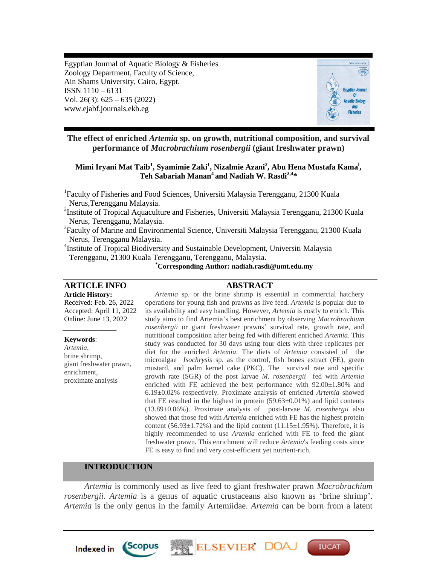Egyptian Journal of Aquatic Biology & Fisheries Zoology Department, Faculty of Science, Ain Shams University, Cairo, Egypt. ISSN 1110 – 6131 Vol. 26(3): 625 – 635 (2022) www.ejabf.journals.ekb.eg



**The effect of enriched** *Artemia* **sp. on growth, nutritional composition, and survival performance of** *Macrobrachium rosenbergii* **(giant freshwater prawn)**

# **Mimi Iryani Mat Taib<sup>1</sup> , Syamimie Zaki<sup>1</sup> , Nizalmie Azani<sup>2</sup> , Abu Hena Mustafa Kama<sup>l</sup> , Teh Sabariah Manan<sup>4</sup> and Nadiah W. Rasdi2,4 \***

<sup>1</sup>Faculty of Fisheries and Food Sciences, Universiti Malaysia Terengganu, 21300 Kuala Nerus,Terengganu Malaysia.

<sup>2</sup>Institute of Tropical Aquaculture and Fisheries, Universiti Malaysia Terengganu, 21300 Kuala Nerus, Terengganu, Malaysia.

<sup>3</sup>Faculty of Marine and Environmental Science, Universiti Malaysia Terengganu, 21300 Kuala Nerus, Terengganu Malaysia.

<sup>4</sup>Institute of Tropical Biodiversity and Sustainable Development, Universiti Malaysia Terengganu, 21300 Kuala Terengganu, Terengganu, Malaysia.

 **\*Corresponding Author: nadiah.rasdi@umt.edu.my**

# **ARTICLE INFO ABSTRACT**

**Article History:** Received: Feb. 26, 2022 Accepted: April 11, 2022 Online: June 13, 2022

**Keywords**: *Artemia*, brine shrimp, giant freshwater prawn, enrichment, proximate analysis

**Indexed in** 

*\_\_\_\_\_\_\_\_\_\_\_\_\_\_\_*

*Artemia* sp. or the brine shrimp is essential in commercial hatchery operations for young fish and prawns as live feed. *Artemia* is popular due to its availability and easy handling. However, *Artemia* is costly to enrich. This study aims to find Artemia's best enrichment by observing *Macrobrachium rosenbergii* or giant freshwater prawns' survival rate, growth rate, and nutritional composition after being fed with different enriched *Artemia*. This study was conducted for 30 days using four diets with three replicates per diet for the enriched *Artemia*. The diets of *Artemia* consisted of the microalgae *Isochrysis* sp. as the control, fish bones extract (FE), green mustard, and palm kernel cake (PKC). The survival rate and specific growth rate (SGR) of the post larvae *M. rosenbergii* fed with *Artemia*  enriched with FE achieved the best performance with 92.00±1.80% and 6.19±0.02% respectively. Proximate analysis of enriched *Artemia* showed that FE resulted in the highest in protein  $(59.63\pm0.01\%)$  and lipid contents (13.89±0.86%). Proximate analysis of post-larvae *M. rosenbergii* also showed that those fed with *Artemia* enriched with FE has the highest protein content (56.93 $\pm$ 1.72%) and the lipid content (11.15 $\pm$ 1.95%). Therefore, it is highly recommended to use *Artemia* enriched with FE to feed the giant freshwater prawn. This enrichment will reduce *Artemia*'s feeding costs since FE is easy to find and very cost-efficient yet nutrient-rich.

# **INTRODUCTION**

*Scopus* 

*Artemia* is commonly used as live feed to giant freshwater prawn *Macrobrachium rosenbergii*. *Artemia* is a genus of aquatic crustaceans also known as 'brine shrimp'. *Artemia* is the only genus in the family Artemiidae. *Artemia* can be born from a latent

**ELSEVIER DO** 

**IUCAT**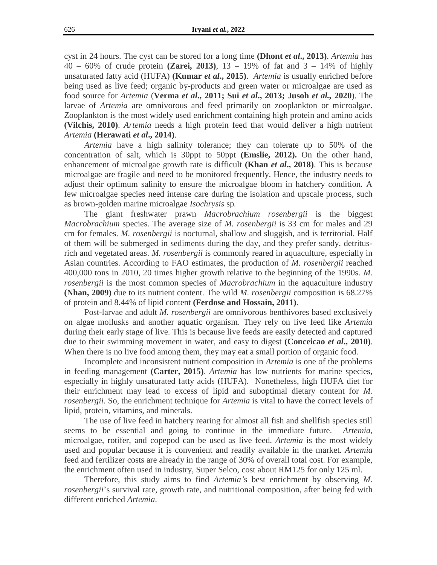cyst in 24 hours. The cyst can be stored for a long time **(Dhont** *et al***., 2013)**. *Artemia* has 40 – 60% of crude protein **(Zarei, 2013)**, 13 – 19% of fat and 3 – 14% of highly unsaturated fatty acid (HUFA) **(Kumar** *et al***., 2015)**. *Artemia* is usually enriched before being used as live feed; organic by-products and green water or microalgae are used as food source for *Artemia* (**Verma** *et al***., 2011; Sui** *et al***., 2013; Jusoh** *et al.,* **2020**). The larvae of *Artemia* are omnivorous and feed primarily on zooplankton or microalgae. Zooplankton is the most widely used enrichment containing high protein and amino acids **(Vilchis, 2010)**. *Artemia* needs a high protein feed that would deliver a high nutrient *Artemia* **(Herawati** *et al***., 2014)**.

*Artemia* have a high salinity tolerance; they can tolerate up to 50% of the concentration of salt, which is 30ppt to 50ppt **(Emslie, 2012).** On the other hand, enhancement of microalgae growth rate is difficult **(Khan** *et al***., 2018)**. This is because microalgae are fragile and need to be monitored frequently. Hence, the industry needs to adjust their optimum salinity to ensure the microalgae bloom in hatchery condition. A few microalgae species need intense care during the isolation and upscale process, such as brown-golden marine microalgae *Isochrysis* sp*.*

The giant freshwater prawn *Macrobrachium rosenbergii* is the biggest *Macrobrachium* species. The average size of *M. rosenbergii* is 33 cm for males and 29 cm for females. *M. rosenbergii* is nocturnal, shallow and sluggish, and is territorial. Half of them will be submerged in sediments during the day, and they prefer sandy, detritusrich and vegetated areas. *M. rosenbergii* is commonly reared in aquaculture, especially in Asian countries. According to FAO estimates, the production of *M. rosenbergii* reached 400,000 tons in 2010, 20 times higher growth relative to the beginning of the 1990s. *M. rosenbergii* is the most common species of *Macrobrachium* in the aquaculture industry **(Nhan, 2009)** due to its nutrient content. The wild *M. rosenbergii* composition is 68.27% of protein and 8.44% of lipid content **(Ferdose and Hossain, 2011)**.

Post-larvae and adult *M. rosenbergii* are omnivorous benthivores based exclusively on algae mollusks and another aquatic organism. They rely on live feed like *Artemia* during their early stage of live. This is because live feeds are easily detected and captured due to their swimming movement in water, and easy to digest **(Conceicao** *et al***., 2010)**. When there is no live food among them, they may eat a small portion of organic food.

Incomplete and inconsistent nutrient composition in *Artemia* is one of the problems in feeding management **(Carter, 2015)**. *Artemia* has low nutrients for marine species, especially in highly unsaturated fatty acids (HUFA). Nonetheless, high HUFA diet for their enrichment may lead to excess of lipid and suboptimal dietary content for *M. rosenbergii*. So, the enrichment technique for *Artemia* is vital to have the correct levels of lipid, protein, vitamins, and minerals.

The use of live feed in hatchery rearing for almost all fish and shellfish species still seems to be essential and going to continue in the immediate future. *Artemia*, microalgae, rotifer, and copepod can be used as live feed. *Artemia* is the most widely used and popular because it is convenient and readily available in the market. *Artemia* feed and fertilizer costs are already in the range of 30% of overall total cost. For example, the enrichment often used in industry, Super Selco, cost about RM125 for only 125 ml.

Therefore, this study aims to find *Artemia'*s best enrichment by observing *M. rosenbergii*'s survival rate, growth rate, and nutritional composition, after being fed with different enriched *Artemia*.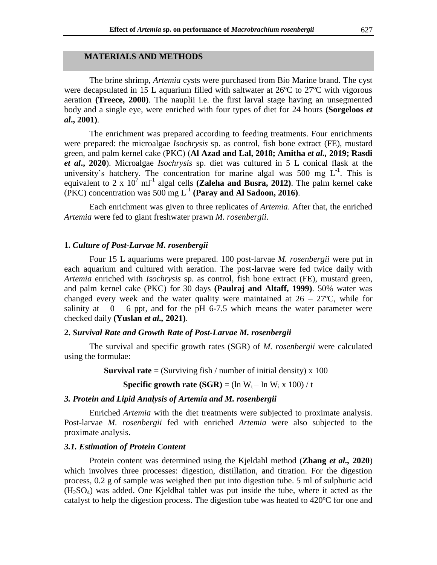# **MATERIALS AND METHODS**

The brine shrimp, *Artemia* cysts were purchased from Bio Marine brand. The cyst were decapsulated in 15 L aquarium filled with saltwater at 26°C to 27°C with vigorous aeration **(Treece, 2000)**. The nauplii i.e. the first larval stage having an unsegmented body and a single eye, were enriched with four types of diet for 24 hours **(Sorgeloos** *et al***., 2001)**.

The enrichment was prepared according to feeding treatments. Four enrichments were prepared: the microalgae *Isochrysis* sp. as control, fish bone extract (FE), mustard green, and palm kernel cake (PKC) (**Al Azad and Lal, 2018; Amitha** *et al.,* **2019; Rasdi**  *et al***., 2020**). Microalgae *Isochrysis* sp. diet was cultured in 5 L conical flask at the university's hatchery. The concentration for marine algal was 500 mg  $L^{-1}$ . This is equivalent to 2 x  $10^7$  ml<sup>-1</sup> algal cells (**Zaleha and Busra, 2012**). The palm kernel cake (PKC) concentration was 500 mg L-1 **(Paray and Al Sadoon, 2016)**.

Each enrichment was given to three replicates of *Artemia*. After that, the enriched *Artemia* were fed to giant freshwater prawn *M. rosenbergii*.

## **1.** *Culture of Post-Larvae M. rosenbergii*

Four 15 L aquariums were prepared. 100 post-larvae *M. rosenbergii* were put in each aquarium and cultured with aeration. The post-larvae were fed twice daily with *Artemia* enriched with *Isochrysis* sp. as control, fish bone extract (FE), mustard green, and palm kernel cake (PKC) for 30 days **(Paulraj and Altaff, 1999)**. 50% water was changed every week and the water quality were maintained at  $26 - 27^{\circ}$ C, while for salinity at  $0 - 6$  ppt, and for the pH 6-7.5 which means the water parameter were checked daily **(Yuslan** *et al.,* **2021)**.

#### **2.** *Survival Rate and Growth Rate of Post-Larvae M. rosenbergii*

The survival and specific growth rates (SGR) of *M. rosenbergii* were calculated using the formulae:

**Survival rate** = (Surviving fish / number of initial density) x 100

**Specific growth rate**  $(SGR) = (\ln W_t - \ln W_i \times 100) / t$ 

#### *3. Protein and Lipid Analysis of Artemia and M. rosenbergii*

Enriched *Artemia* with the diet treatments were subjected to proximate analysis. Post-larvae *M. rosenbergii* fed with enriched *Artemia* were also subjected to the proximate analysis.

#### *3.1. Estimation of Protein Content*

Protein content was determined using the Kjeldahl method (**Zhang** *et al.,* **2020**) which involves three processes: digestion, distillation, and titration. For the digestion process, 0.2 g of sample was weighed then put into digestion tube. 5 ml of sulphuric acid  $(H<sub>2</sub>SO<sub>4</sub>)$  was added. One Kjeldhal tablet was put inside the tube, where it acted as the catalyst to help the digestion process. The digestion tube was heated to 420ºC for one and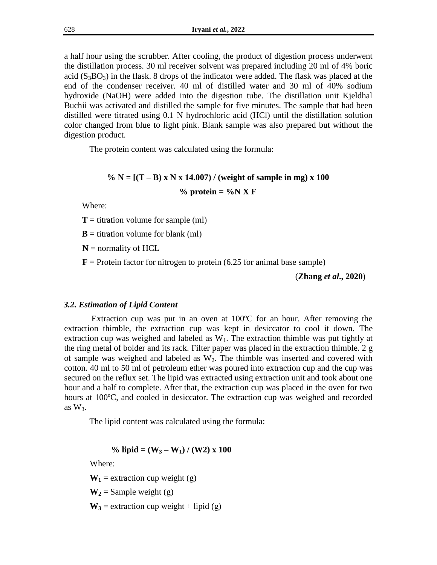a half hour using the scrubber. After cooling, the product of digestion process underwent the distillation process. 30 ml receiver solvent was prepared including 20 ml of 4% boric acid  $(S_3BO_3)$  in the flask. 8 drops of the indicator were added. The flask was placed at the end of the condenser receiver. 40 ml of distilled water and 30 ml of 40% sodium hydroxide (NaOH) were added into the digestion tube. The distillation unit Kjeldhal Buchii was activated and distilled the sample for five minutes. The sample that had been distilled were titrated using 0.1 N hydrochloric acid (HCl) until the distillation solution color changed from blue to light pink. Blank sample was also prepared but without the digestion product.

The protein content was calculated using the formula:

# $\% N = [(T - B) \times N \times 14.007) /$  (weight of sample in mg) x 100

 $%$  protein =  $%$ N X F

Where:

 $T =$  titration volume for sample (ml)

 **= titration volume for blank (ml)** 

 $N =$  normality of HCL

 **= Protein factor for nitrogen to protein (6.25 for animal base sample)** 

(**Zhang** *et al***., 2020**)

#### *3.2. Estimation of Lipid Content*

Extraction cup was put in an oven at 100ºC for an hour. After removing the extraction thimble, the extraction cup was kept in desiccator to cool it down. The extraction cup was weighed and labeled as  $W_1$ . The extraction thimble was put tightly at the ring metal of bolder and its rack. Filter paper was placed in the extraction thimble. 2 g of sample was weighed and labeled as  $W_2$ . The thimble was inserted and covered with cotton. 40 ml to 50 ml of petroleum ether was poured into extraction cup and the cup was secured on the reflux set. The lipid was extracted using extraction unit and took about one hour and a half to complete. After that, the extraction cup was placed in the oven for two hours at 100°C, and cooled in desiccator. The extraction cup was weighed and recorded as  $W_3$ .

The lipid content was calculated using the formula:

% lipid = 
$$
(W_3 - W_1) / (W_2) \times 100
$$

Where:

 $W_1$  = extraction cup weight (g)

 $W_2$  = Sample weight (g)

 $W_3$  = extraction cup weight + lipid (g)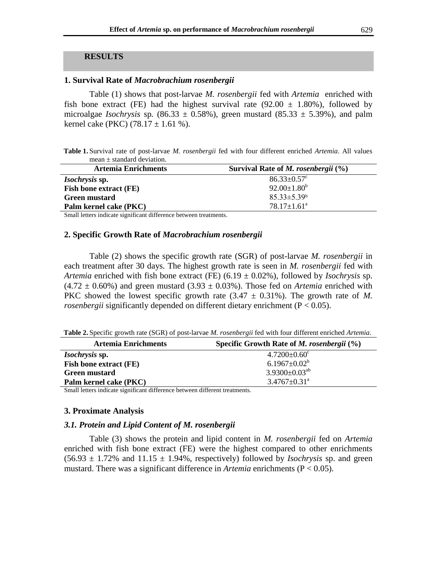# **RESULTS**

#### **1. Survival Rate of** *Macrobrachium rosenbergii*

Table (1) shows that post-larvae *M. rosenbergii* fed with *Artemia* enriched with fish bone extract (FE) had the highest survival rate (92.00  $\pm$  1.80%), followed by microalgae *Isochrysis* sp.  $(86.33 \pm 0.58\%)$ , green mustard  $(85.33 \pm 5.39\%)$ , and palm kernel cake (PKC)  $(78.17 \pm 1.61 \%)$ .

**Table 1.** Survival rate of post-larvae *M. rosenbergii* fed with four different enriched *Artemia*. All values mean ± standard deviation.

| <b>Artemia Enrichments</b>    | Survival Rate of <i>M. rosenbergii</i> $(\%)$ |
|-------------------------------|-----------------------------------------------|
| <i>Isochrysis</i> sp.         | $86.33 \pm 0.57$ <sup>c</sup>                 |
| <b>Fish bone extract (FE)</b> | $92.00 \pm 1.80^b$                            |
| Green mustard                 | $85.33 \pm 5.39$ <sup>b</sup>                 |
| Palm kernel cake (PKC)        | $78.17 \pm 1.61^{\circ}$                      |

Small letters indicate significant difference between treatments.

# **2. Specific Growth Rate of** *Macrobrachium rosenbergii*

Table (2) shows the specific growth rate (SGR) of post-larvae *M. rosenbergii* in each treatment after 30 days. The highest growth rate is seen in *M. rosenbergii* fed with *Artemia* enriched with fish bone extract (FE) (6.19 ± 0.02%), followed by *Isochrysis* sp.  $(4.72 \pm 0.60\%)$  and green mustard  $(3.93 \pm 0.03\%)$ . Those fed on *Artemia* enriched with PKC showed the lowest specific growth rate  $(3.47 \pm 0.31\%)$ . The growth rate of *M*. *rosenbergii* significantly depended on different dietary enrichment (P < 0.05).

**Table 2.** Specific growth rate (SGR) of post-larvae *M. rosenbergii* fed with four different enriched *Artemia*.

| <b>Artemia Enrichments</b>    | Specific Growth Rate of <i>M. rosenbergii</i> $(\%)$ |
|-------------------------------|------------------------------------------------------|
| <i>Isochrysis</i> sp.         | $4.7200 \pm 0.60$ <sup>c</sup>                       |
| <b>Fish bone extract (FE)</b> | $6.1967 \pm 0.02^b$                                  |
| <b>Green mustard</b>          | $3.9300 \pm 0.03^{ab}$                               |
| Palm kernel cake (PKC)        | $3.4767 \pm 0.31^{\text{a}}$                         |

Small letters indicate significant difference between different treatments.

#### **3. Proximate Analysis**

# *3.1. Protein and Lipid Content of M. rosenbergii*

Table (3) shows the protein and lipid content in *M. rosenbergii* fed on *Artemia*  enriched with fish bone extract (FE) were the highest compared to other enrichments  $(56.93 \pm 1.72\%$  and  $11.15 \pm 1.94\%$ , respectively) followed by *Isochrysis* sp. and green mustard. There was a significant difference in *Artemia* enrichments (P < 0.05).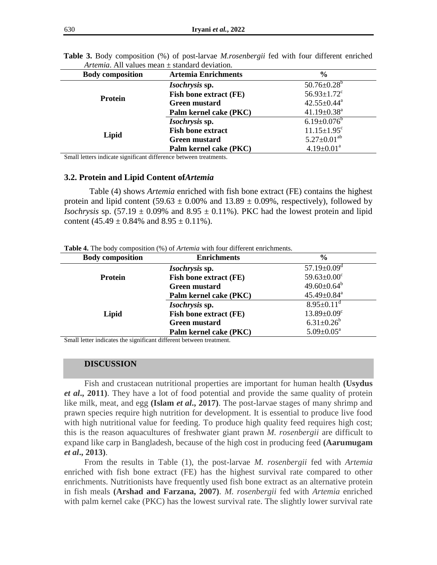| <b>Body composition</b> | <b>Artemia Enrichments</b>    | $\frac{0}{0}$                 |
|-------------------------|-------------------------------|-------------------------------|
| Protein                 | Isochrysis sp.                | $50.76 \pm 0.28^{\rm b}$      |
|                         | <b>Fish bone extract (FE)</b> | $56.93 \pm 1.72$ <sup>c</sup> |
|                         | <b>Green mustard</b>          | $42.55 \pm 0.44^a$            |
|                         | Palm kernel cake (PKC)        | $41.19 \pm 0.38$ <sup>a</sup> |
| Lipid                   | Isochrysis sp.                | $6.19 \pm 0.076^b$            |
|                         | <b>Fish bone extract</b>      | $11.15 \pm 1.95$ <sup>c</sup> |
|                         | <b>Green mustard</b>          | $5.27 \pm 0.01^{ab}$          |
|                         | Palm kernel cake (PKC)        | $4.19 \pm 0.01^a$             |

**Table 3.** Body composition (%) of post-larvae *M.rosenbergii* fed with four different enriched *Artemia*. All values mean ± standard deviation.

Small letters indicate significant difference between treatments.

#### **3.2. Protein and Lipid Content of***Artemia*

Table (4) shows *Artemia* enriched with fish bone extract (FE) contains the highest protein and lipid content (59.63  $\pm$  0.00% and 13.89  $\pm$  0.09%, respectively), followed by *Isochrysis* sp.  $(57.19 \pm 0.09\%$  and  $8.95 \pm 0.11\%$ ). PKC had the lowest protein and lipid content  $(45.49 \pm 0.84\%$  and  $8.95 \pm 0.11\%$ ).

**Table 4.** The body composition (%) of *Artemia* with four different enrichments.

| <b>Body composition</b> | <b>Enrichments</b>            | $\frac{6}{9}$                 |
|-------------------------|-------------------------------|-------------------------------|
|                         | Isochrysis sp.                | $57.19 \pm 0.09$ <sup>d</sup> |
| Protein                 | Fish bone extract (FE)        | $59.63 \pm 0.00^{\circ}$      |
|                         | <b>Green mustard</b>          | $49.60 \pm 0.64^b$            |
|                         | Palm kernel cake (PKC)        | $45.49 \pm 0.84$ <sup>a</sup> |
|                         | Isochrysis sp.                | $8.95 \pm 0.11^d$             |
| Lipid                   | <b>Fish bone extract (FE)</b> | $13.89 \pm 0.09$ <sup>c</sup> |
|                         | <b>Green mustard</b>          | $6.31 \pm 0.26^b$             |
|                         | Palm kernel cake (PKC)        | $5.09 \pm 0.05^a$             |

Small letter indicates the significant different between treatment.

#### **DISCUSSION**

Fish and crustacean nutritional properties are important for human health **(Usydus**  *et al***., 2011)**. They have a lot of food potential and provide the same quality of protein like milk, meat, and egg (Islam *et al.*, 2017). The post-larvae stages of many shrimp and prawn species require high nutrition for development. It is essential to produce live food with high nutritional value for feeding. To produce high quality feed requires high cost; this is the reason aquacultures of freshwater giant prawn *M. rosenbergii* are difficult to expand like carp in Bangladesh, because of the high cost in producing feed **(Aarumugam**  *et al***., 2013)**.

From the results in Table (1), the post-larvae *M. rosenbergii* fed with *Artemia*  enriched with fish bone extract (FE) has the highest survival rate compared to other enrichments. Nutritionists have frequently used fish bone extract as an alternative protein in fish meals **(Arshad and Farzana, 2007)**. *M. rosenbergii* fed with *Artemia* enriched with palm kernel cake (PKC) has the lowest survival rate. The slightly lower survival rate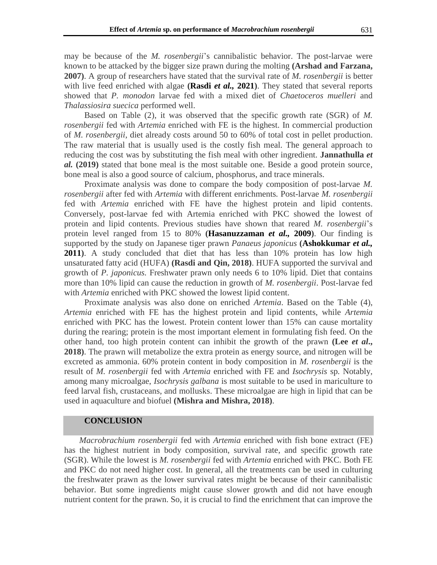may be because of the *M. rosenbergii*'s cannibalistic behavior. The post-larvae were known to be attacked by the bigger size prawn during the molting **(Arshad and Farzana, 2007)**. A group of researchers have stated that the survival rate of *M. rosenbergii* is better with live feed enriched with algae **(Rasdi** *et al.,* **2021)**. They stated that several reports showed that *P. monodon* larvae fed with a mixed diet of *Chaetoceros muelleri* and *Thalassiosira suecica* performed well.

Based on Table (2), it was observed that the specific growth rate (SGR) of *M. rosenbergii* fed with *Artemia* enriched with FE is the highest. In commercial production of *M. rosenbergii*, diet already costs around 50 to 60% of total cost in pellet production. The raw material that is usually used is the costly fish meal. The general approach to reducing the cost was by substituting the fish meal with other ingredient. **Jannathulla** *et al.* **(2019)** stated that bone meal is the most suitable one. Beside a good protein source, bone meal is also a good source of calcium, phosphorus, and trace minerals.

Proximate analysis was done to compare the body composition of post-larvae *M. rosenbergii* after fed with *Artemia* with different enrichments*.* Post-larvae *M. rosenbergii*  fed with *Artemia* enriched with FE have the highest protein and lipid contents. Conversely, post-larvae fed with Artemia enriched with PKC showed the lowest of protein and lipid contents. Previous studies have shown that reared *M. rosenbergii*'s protein level ranged from 15 to 80% **(Hasanuzzaman** *et al.,* **2009)**. Our finding is supported by the study on Japanese tiger prawn *Panaeus japonicus* **(Ashokkumar** *et al.,* **2011**). A study concluded that diet that has less than 10% protein has low high unsaturated fatty acid (HUFA) **(Rasdi and Qin, 2018)**. HUFA supported the survival and growth of *P. japonicus.* Freshwater prawn only needs 6 to 10% lipid. Diet that contains more than 10% lipid can cause the reduction in growth of *M. rosenbergii*. Post-larvae fed with *Artemia* enriched with PKC showed the lowest lipid content.

Proximate analysis was also done on enriched *Artemia*. Based on the Table (4), *Artemia* enriched with FE has the highest protein and lipid contents, while *Artemia*  enriched with PKC has the lowest. Protein content lower than 15% can cause mortality during the rearing; protein is the most important element in formulating fish feed. On the other hand, too high protein content can inhibit the growth of the prawn **(Lee** *et al***., 2018)**. The prawn will metabolize the extra protein as energy source, and nitrogen will be excreted as ammonia. 60% protein content in body composition in *M. rosenbergii* is the result of *M. rosenbergii* fed with *Artemia* enriched with FE and *Isochrysis* sp*.* Notably, among many microalgae, *Isochrysis galbana* is most suitable to be used in mariculture to feed larval fish, crustaceans, and mollusks. These microalgae are high in lipid that can be used in aquaculture and biofuel **(Mishra and Mishra, 2018)**.

#### **CONCLUSION**

*Macrobrachium rosenbergii* fed with *Artemia* enriched with fish bone extract (FE) has the highest nutrient in body composition, survival rate, and specific growth rate (SGR). While the lowest is *M. rosenbergii* fed with *Artemia* enriched with PKC. Both FE and PKC do not need higher cost. In general, all the treatments can be used in culturing the freshwater prawn as the lower survival rates might be because of their cannibalistic behavior. But some ingredients might cause slower growth and did not have enough nutrient content for the prawn. So, it is crucial to find the enrichment that can improve the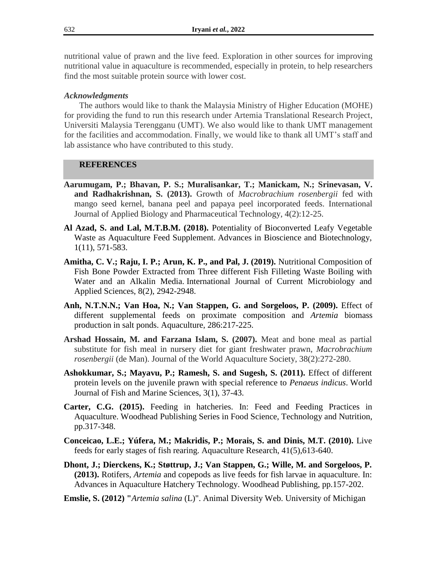nutritional value of prawn and the live feed. Exploration in other sources for improving nutritional value in aquaculture is recommended, especially in protein, to help researchers find the most suitable protein source with lower cost.

# *Acknowledgments*

The authors would like to thank the Malaysia Ministry of Higher Education (MOHE) for providing the fund to run this research under Artemia Translational Research Project, Universiti Malaysia Terengganu (UMT). We also would like to thank UMT management for the facilities and accommodation. Finally, we would like to thank all UMT's staff and lab assistance who have contributed to this study.

# **REFERENCES**

- **Aarumugam, P.; Bhavan, P. S.; Muralisankar, T.; Manickam, N.; Srinevasan, V. and Radhakrishnan, S. (2013).** Growth of *Macrobrachium rosenbergii* fed with mango seed kernel, banana peel and papaya peel incorporated feeds. International Journal of Applied Biology and Pharmaceutical Technology, 4(2):12-25.
- **Al Azad, S. and Lal, M.T.B.M. (2018).** Potentiality of Bioconverted Leafy Vegetable Waste as Aquaculture Feed Supplement. Advances in Bioscience and Biotechnology, 1(11), 571-583.
- **Amitha, C. V.; Raju, I. P.; Arun, K. P., and Pal, J. (2019).** Nutritional Composition of Fish Bone Powder Extracted from Three different Fish Filleting Waste Boiling with Water and an Alkalin Media. International Journal of Current Microbiology and Applied Sciences, 8(2), 2942-2948.
- **Anh, N.T.N.N.; Van Hoa, N.; Van Stappen, G. and Sorgeloos, P. (2009).** Effect of different supplemental feeds on proximate composition and *Artemia* biomass production in salt ponds. Aquaculture, 286:217-225.
- **Arshad Hossain, M. and Farzana Islam, S. (2007).** Meat and bone meal as partial substitute for fish meal in nursery diet for giant freshwater prawn, *Macrobrachium rosenbergii* (de Man). Journal of the World Aquaculture Society, 38(2):272-280.
- **Ashokkumar, S.; Mayavu, P.; Ramesh, S. and Sugesh, S. (2011).** Effect of different protein levels on the juvenile prawn with special reference to *Penaeus indicus*. World Journal of Fish and Marine Sciences, 3(1), 37-43.
- **Carter, C.G. (2015).** Feeding in hatcheries. In: Feed and Feeding Practices in Aquaculture. Woodhead Publishing Series in Food Science, Technology and Nutrition, pp.317-348.
- **Conceicao, L.E.; Yúfera, M.; Makridis, P.; Morais, S. and Dinis, M.T. (2010).** Live feeds for early stages of fish rearing. Aquaculture Research, 41(5),613-640.
- **Dhont, J.; Dierckens, K.; Støttrup, J.; Van Stappen, G.; Wille, M. and Sorgeloos, P. (2013).** Rotifers, *Artemia* and copepods as live feeds for fish larvae in aquaculture. In: Advances in Aquaculture Hatchery Technology. Woodhead Publishing, pp.157-202.
- **Emslie, S. (2012) "***Artemia salina* (L)". Animal Diversity Web. University of Michigan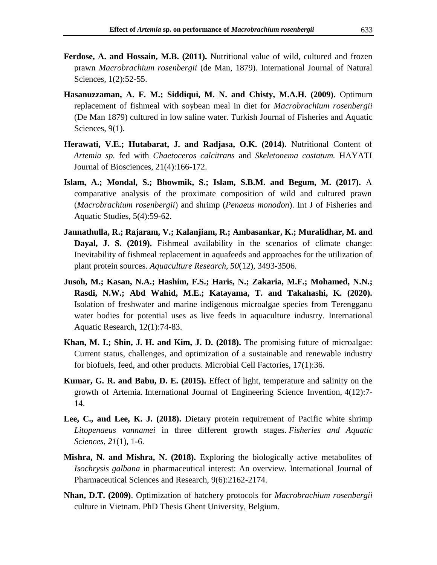- **Ferdose, A. and Hossain, M.B. (2011).** Nutritional value of wild, cultured and frozen prawn *Macrobrachium rosenbergii* (de Man, 1879). International Journal of Natural Sciences, 1(2):52-55.
- **Hasanuzzaman, A. F. M.; Siddiqui, M. N. and Chisty, M.A.H. (2009).** Optimum replacement of fishmeal with soybean meal in diet for *Macrobrachium rosenbergii* (De Man 1879) cultured in low saline water. Turkish Journal of Fisheries and Aquatic Sciences, 9(1).
- **Herawati, V.E.; Hutabarat, J. and Radjasa, O.K. (2014).** Nutritional Content of *Artemia sp.* fed with *Chaetoceros calcitrans* and *Skeletonema costatum.* HAYATI Journal of Biosciences, 21(4):166-172.
- **Islam, A.; Mondal, S.; Bhowmik, S.; Islam, S.B.M. and Begum, M. (2017).** A comparative analysis of the proximate composition of wild and cultured prawn (*Macrobrachium rosenbergii*) and shrimp (*Penaeus monodon*). Int J of Fisheries and Aquatic Studies, 5(4):59-62.
- **Jannathulla, R.; Rajaram, V.; Kalanjiam, R.; Ambasankar, K.; Muralidhar, M. and Dayal, J. S. (2019).** Fishmeal availability in the scenarios of climate change: Inevitability of fishmeal replacement in aquafeeds and approaches for the utilization of plant protein sources. *Aquaculture Research*, *50*(12), 3493-3506.
- **Jusoh, M.; Kasan, N.A.; Hashim, F.S.; Haris, N.; Zakaria, M.F.; Mohamed, N.N.; Rasdi, N.W.; Abd Wahid, M.E.; Katayama, T. and Takahashi, K. (2020).** Isolation of freshwater and marine indigenous microalgae species from Terengganu water bodies for potential uses as live feeds in aquaculture industry. International Aquatic Research, 12(1):74-83.
- **Khan, M. I.; Shin, J. H. and Kim, J. D. (2018).** The promising future of microalgae: Current status, challenges, and optimization of a sustainable and renewable industry for biofuels, feed, and other products. Microbial Cell Factories, 17(1):36.
- **Kumar, G. R. and Babu, D. E. (2015).** Effect of light, temperature and salinity on the growth of Artemia. International Journal of Engineering Science Invention, 4(12):7- 14.
- **Lee, C., and Lee, K. J. (2018).** Dietary protein requirement of Pacific white shrimp *Litopenaeus vannamei* in three different growth stages. *Fisheries and Aquatic Sciences*, *21*(1), 1-6.
- **Mishra, N. and Mishra, N. (2018).** Exploring the biologically active metabolites of *Isochrysis galbana* in pharmaceutical interest: An overview. International Journal of Pharmaceutical Sciences and Research, 9(6):2162-2174.
- **Nhan, D.T. (2009)**. Optimization of hatchery protocols for *Macrobrachium rosenbergii*  culture in Vietnam. PhD Thesis Ghent University, Belgium.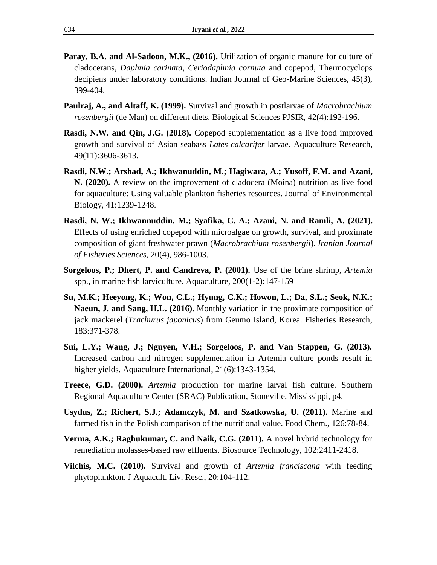- **Paray, B.A. and Al-Sadoon, M.K., (2016).** Utilization of organic manure for culture of cladocerans, *Daphnia carinata, Ceriodaphnia cornuta* and copepod, Thermocyclops decipiens under laboratory conditions. Indian Journal of Geo-Marine Sciences, 45(3), 399-404.
- **Paulraj, A., and Altaff, K. (1999).** Survival and growth in postlarvae of *Macrobrachium rosenbergii* (de Man) on different diets. Biological Sciences PJSIR, 42(4):192-196.
- **Rasdi, N.W. and Qin, J.G. (2018).** Copepod supplementation as a live food improved growth and survival of Asian seabass *Lates calcarifer* larvae. Aquaculture Research, 49(11):3606-3613.
- **Rasdi, N.W.; Arshad, A.; Ikhwanuddin, M.; Hagiwara, A.; Yusoff, F.M. and Azani, N. (2020).** A review on the improvement of cladocera (Moina) nutrition as live food for aquaculture: Using valuable plankton fisheries resources. Journal of Environmental Biology, 41:1239-1248.
- **Rasdi, N. W.; Ikhwannuddin, M.; Syafika, C. A.; Azani, N. and Ramli, A. (2021).** Effects of using enriched copepod with microalgae on growth, survival, and proximate composition of giant freshwater prawn (*Macrobrachium rosenbergii*). *Iranian Journal of Fisheries Sciences*, 20(4), 986-1003.
- **Sorgeloos, P.; Dhert, P. and Candreva, P. (2001).** Use of the brine shrimp, *Artemia*  spp., in marine fish larviculture. Aquaculture, 200(1-2):147-159
- **Su, M.K.; Heeyong, K.; Won, C.L.; Hyung, C.K.; Howon, L.; Da, S.L.; Seok, N.K.; Naeun, J. and Sang, H.L. (2016).** Monthly variation in the proximate composition of jack mackerel (*Trachurus japonicus*) from Geumo Island, Korea. Fisheries Research, 183:371-378.
- **Sui, L.Y.; Wang, J.; Nguyen, V.H.; Sorgeloos, P. and Van Stappen, G. (2013).** Increased carbon and nitrogen supplementation in Artemia culture ponds result in higher yields. Aquaculture International, 21(6):1343-1354.
- **Treece, G.D. (2000).** *Artemia* production for marine larval fish culture. Southern Regional Aquaculture Center (SRAC) Publication, Stoneville, Mississippi, p4.
- **Usydus, Z.; Richert, S.J.; Adamczyk, M. and Szatkowska, U. (2011).** Marine and farmed fish in the Polish comparison of the nutritional value. Food Chem., 126:78-84.
- **Verma, A.K.; Raghukumar, C. and Naik, C.G. (2011).** A novel hybrid technology for remediation molasses-based raw effluents. Biosource Technology, 102:2411-2418.
- **Vilchis, M.C. (2010).** Survival and growth of *Artemia franciscana* with feeding phytoplankton. J Aquacult. Liv. Resc., 20:104-112.